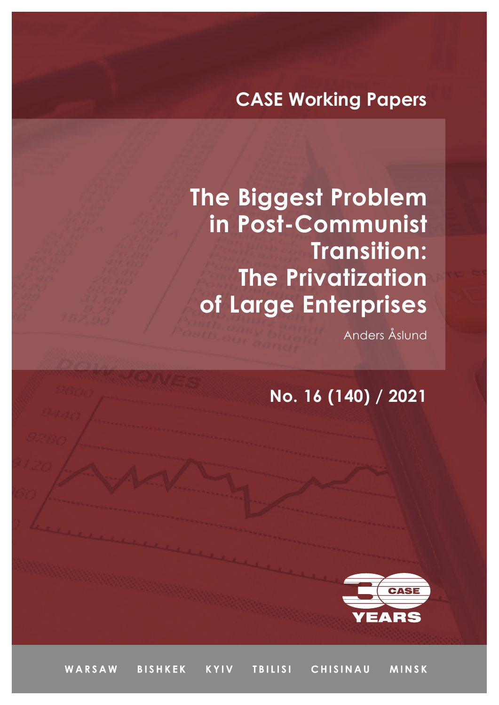# **CASE Working Papers**

**The Biggest Problem in Post-Communist Transition: The Privatization of Large Enterprises** 

Anders Åslund

**No. 16 (140) / 2021**



WARSAW **BISHKEK KYIV TBILISI** CHISINAU **MINSK**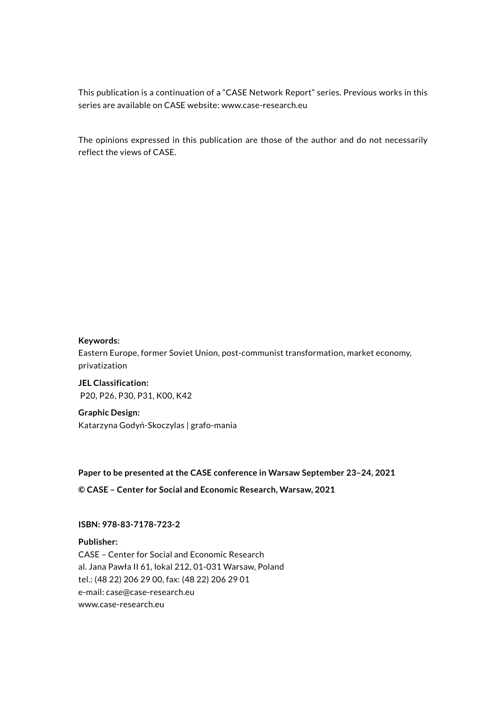This publication is a continuation of a "CASE Network Report" series. Previous works in this series are available on CASE website: www.case-research.eu

The opinions expressed in this publication are those of the author and do not necessarily reflect the views of CASE.

#### **Keywords:**

Eastern Europe, former Soviet Union, post-communist transformation, market economy, privatization

**JEL Classification:** P20, P26, P30, P31, K00, K42

**Graphic Design:** Katarzyna Godyń-Skoczylas | grafo-mania

**Paper to be presented at the CASE conference in Warsaw September 23–24, 2021** 

**© CASE – Center for Social and Economic Research, Warsaw, 2021**

#### **ISBN: 978-83-7178-723-2**

**Publisher:** CASE – Center for Social and Economic Research al. Jana Pawła II 61, lokal 212, 01-031 Warsaw, Poland tel.: (48 22) 206 29 00, fax: (48 22) 206 29 01 e-mail: case[@case-research.eu](http://case-research.eu) [www.case-research.eu](http://www.case-research.eu)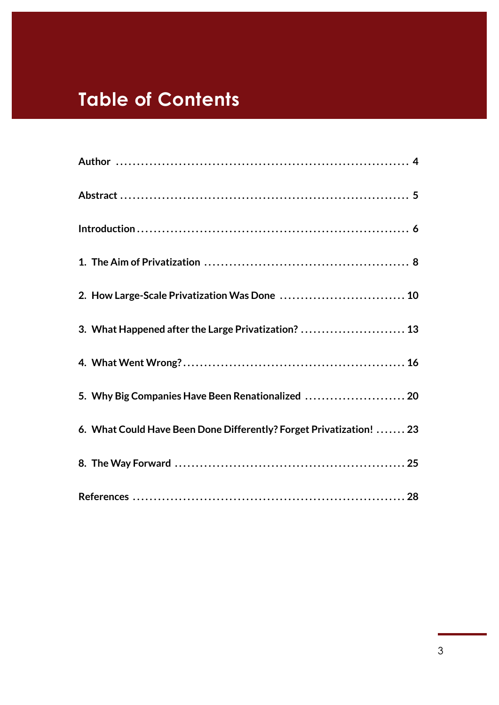# **Table of Contents**

| 2. How Large-Scale Privatization Was Done  10                       |
|---------------------------------------------------------------------|
| 3. What Happened after the Large Privatization?  13                 |
|                                                                     |
| 5. Why Big Companies Have Been Renationalized  20                   |
| 6. What Could Have Been Done Differently? Forget Privatization!  23 |
|                                                                     |
|                                                                     |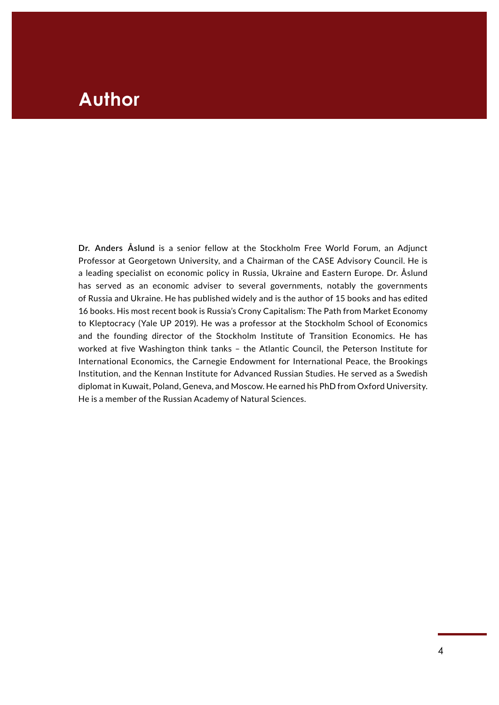### **Author** Paper **Paper**

**Dr. Anders Åslund** is a senior fellow at the Stockholm Free World Forum, an Adjunct Professor at Georgetown University, and a Chairman of the CASE Advisory Council. He is a leading specialist on economic policy in Russia, Ukraine and Eastern Europe. Dr. Åslund has served as an economic adviser to several governments, notably the governments of Russia and Ukraine. He has published widely and is the author of 15 books and has edited 16 books. His most recent book is Russia's Crony Capitalism: The Path from Market Economy to Kleptocracy (Yale UP 2019). He was a professor at the Stockholm School of Economics and the founding director of the Stockholm Institute of Transition Economics. He has worked at five Washington think tanks – the Atlantic Council, the Peterson Institute for International Economics, the Carnegie Endowment for International Peace, the Brookings Institution, and the Kennan Institute for Advanced Russian Studies. He served as a Swedish diplomat in Kuwait, Poland, Geneva, and Moscow. He earned his PhD from Oxford University. He is a member of the Russian Academy of Natural Sciences.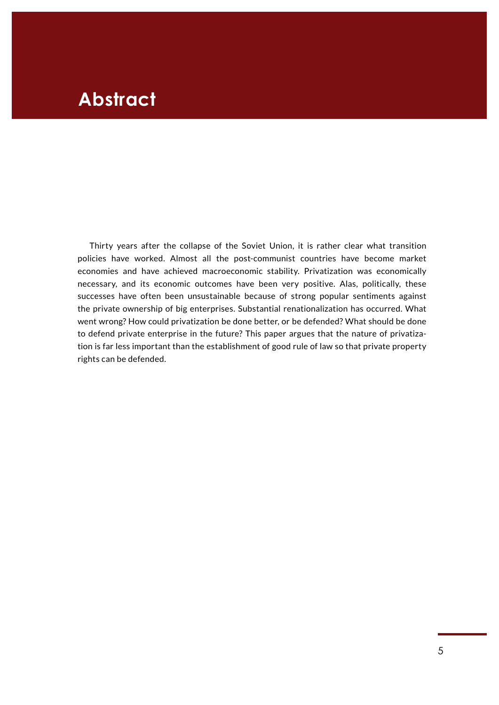## **Abstract**

Thirty years after the collapse of the Soviet Union, it is rather clear what transition policies have worked. Almost all the post-communist countries have become market economies and have achieved macroeconomic stability. Privatization was economically necessary, and its economic outcomes have been very positive. Alas, politically, these successes have often been unsustainable because of strong popular sentiments against the private ownership of big enterprises. Substantial renationalization has occurred. What went wrong? How could privatization be done better, or be defended? What should be done to defend private enterprise in the future? This paper argues that the nature of privatization is far less important than the establishment of good rule of law so that private property rights can be defended.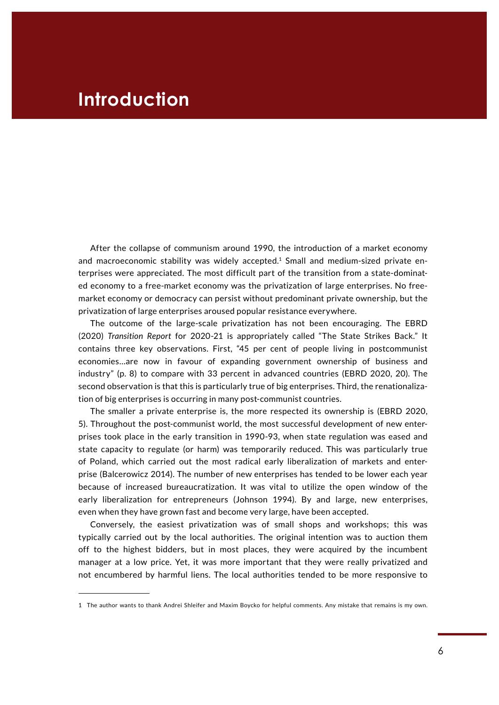### **Introduction**

After the collapse of communism around 1990, the introduction of a market economy and macroeconomic stability was widely accepted. $1$  Small and medium-sized private enterprises were appreciated. The most difficult part of the transition from a state-dominated economy to a free-market economy was the privatization of large enterprises. No freemarket economy or democracy can persist without predominant private ownership, but the privatization of large enterprises aroused popular resistance everywhere.

The outcome of the large-scale privatization has not been encouraging. The EBRD (2020) *Transition Report* for 2020-21 is appropriately called "The State Strikes Back." It contains three key observations. First, "45 per cent of people living in postcommunist economies…are now in favour of expanding government ownership of business and industry" (p. 8) to compare with 33 percent in advanced countries (EBRD 2020, 20). The second observation is that this is particularly true of big enterprises. Third, the renationalization of big enterprises is occurring in many post-communist countries.

The smaller a private enterprise is, the more respected its ownership is (EBRD 2020, 5). Throughout the post-communist world, the most successful development of new enterprises took place in the early transition in 1990-93, when state regulation was eased and state capacity to regulate (or harm) was temporarily reduced. This was particularly true of Poland, which carried out the most radical early liberalization of markets and enterprise (Balcerowicz 2014). The number of new enterprises has tended to be lower each year because of increased bureaucratization. It was vital to utilize the open window of the early liberalization for entrepreneurs (Johnson 1994). By and large, new enterprises, even when they have grown fast and become very large, have been accepted.

Conversely, the easiest privatization was of small shops and workshops; this was typically carried out by the local authorities. The original intention was to auction them off to the highest bidders, but in most places, they were acquired by the incumbent manager at a low price. Yet, it was more important that they were really privatized and not encumbered by harmful liens. The local authorities tended to be more responsive to

<sup>1</sup> The author wants to thank Andrei Shleifer and Maxim Boycko for helpful comments. Any mistake that remains is my own.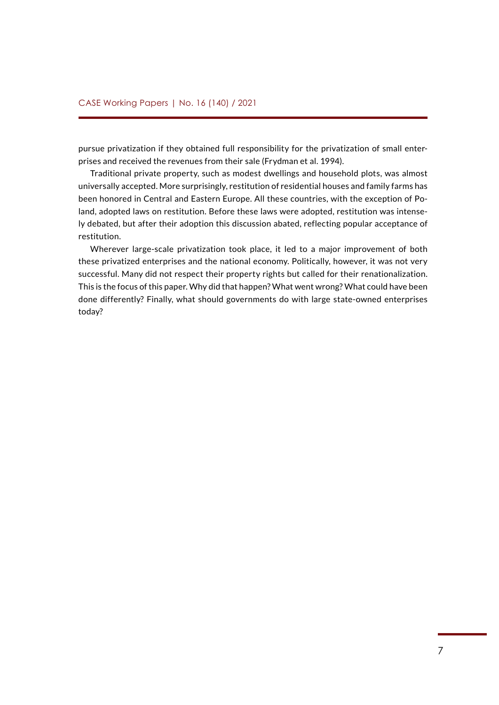pursue privatization if they obtained full responsibility for the privatization of small enterprises and received the revenues from their sale (Frydman et al. 1994).

Traditional private property, such as modest dwellings and household plots, was almost universally accepted. More surprisingly, restitution of residential houses and family farms has been honored in Central and Eastern Europe. All these countries, with the exception of Poland, adopted laws on restitution. Before these laws were adopted, restitution was intensely debated, but after their adoption this discussion abated, reflecting popular acceptance of restitution.

Wherever large-scale privatization took place, it led to a major improvement of both these privatized enterprises and the national economy. Politically, however, it was not very successful. Many did not respect their property rights but called for their renationalization. This is the focus of this paper. Why did that happen? What went wrong? What could have been done differently? Finally, what should governments do with large state-owned enterprises today?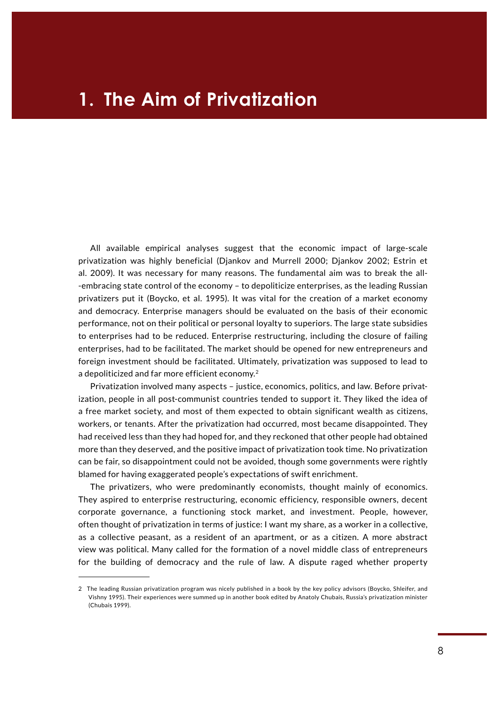## **1. The Aim of Privatization**

All available empirical analyses suggest that the economic impact of large-scale privatization was highly beneficial (Djankov and Murrell 2000; Djankov 2002; Estrin et al. 2009). It was necessary for many reasons. The fundamental aim was to break the all- -embracing state control of the economy – to depoliticize enterprises, as the leading Russian privatizers put it (Boycko, et al. 1995). It was vital for the creation of a market economy and democracy. Enterprise managers should be evaluated on the basis of their economic performance, not on their political or personal loyalty to superiors. The large state subsidies to enterprises had to be reduced. Enterprise restructuring, including the closure of failing enterprises, had to be facilitated. The market should be opened for new entrepreneurs and foreign investment should be facilitated. Ultimately, privatization was supposed to lead to a depoliticized and far more efficient economy.<sup>2</sup>

Privatization involved many aspects – justice, economics, politics, and law. Before privatization, people in all post-communist countries tended to support it. They liked the idea of a free market society, and most of them expected to obtain significant wealth as citizens, workers, or tenants. After the privatization had occurred, most became disappointed. They had received less than they had hoped for, and they reckoned that other people had obtained more than they deserved, and the positive impact of privatization took time. No privatization can be fair, so disappointment could not be avoided, though some governments were rightly blamed for having exaggerated people's expectations of swift enrichment.

The privatizers, who were predominantly economists, thought mainly of economics. They aspired to enterprise restructuring, economic efficiency, responsible owners, decent corporate governance, a functioning stock market, and investment. People, however, often thought of privatization in terms of justice: I want my share, as a worker in a collective, as a collective peasant, as a resident of an apartment, or as a citizen. A more abstract view was political. Many called for the formation of a novel middle class of entrepreneurs for the building of democracy and the rule of law. A dispute raged whether property

<sup>2</sup> The leading Russian privatization program was nicely published in a book by the key policy advisors (Boycko, Shleifer, and Vishny 1995). Their experiences were summed up in another book edited by Anatoly Chubais, Russia's privatization minister (Chubais 1999).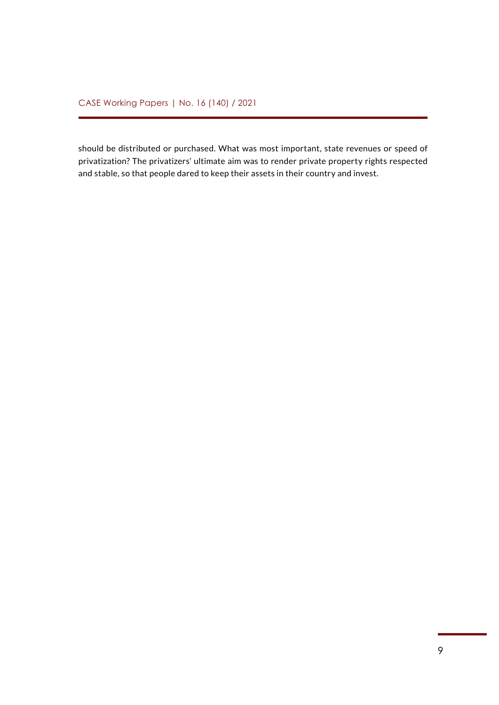should be distributed or purchased. What was most important, state revenues or speed of privatization? The privatizers' ultimate aim was to render private property rights respected and stable, so that people dared to keep their assets in their country and invest.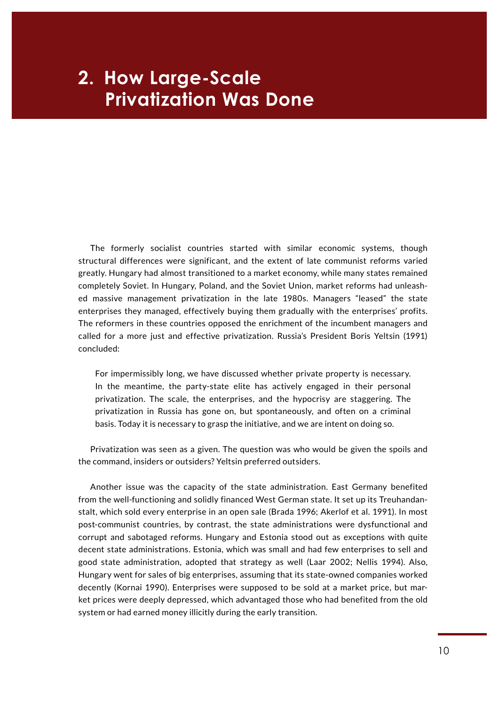# **Privatization Was Done 2. How Large-Scale**

The formerly socialist countries started with similar economic systems, though structural differences were significant, and the extent of late communist reforms varied greatly. Hungary had almost transitioned to a market economy, while many states remained completely Soviet. In Hungary, Poland, and the Soviet Union, market reforms had unleashed massive management privatization in the late 1980s. Managers "leased" the state enterprises they managed, effectively buying them gradually with the enterprises' profits. The reformers in these countries opposed the enrichment of the incumbent managers and called for a more just and effective privatization. Russia's President Boris Yeltsin (1991) concluded:

For impermissibly long, we have discussed whether private property is necessary. In the meantime, the party-state elite has actively engaged in their personal privatization. The scale, the enterprises, and the hypocrisy are staggering. The privatization in Russia has gone on, but spontaneously, and often on a criminal basis. Today it is necessary to grasp the initiative, and we are intent on doing so.

Privatization was seen as a given. The question was who would be given the spoils and the command, insiders or outsiders? Yeltsin preferred outsiders.

Another issue was the capacity of the state administration. East Germany benefited from the well-functioning and solidly financed West German state. It set up its Treuhandanstalt, which sold every enterprise in an open sale (Brada 1996; Akerlof et al. 1991). In most post-communist countries, by contrast, the state administrations were dysfunctional and corrupt and sabotaged reforms. Hungary and Estonia stood out as exceptions with quite decent state administrations. Estonia, which was small and had few enterprises to sell and good state administration, adopted that strategy as well (Laar 2002; Nellis 1994). Also, Hungary went for sales of big enterprises, assuming that its state-owned companies worked decently (Kornai 1990). Enterprises were supposed to be sold at a market price, but market prices were deeply depressed, which advantaged those who had benefited from the old system or had earned money illicitly during the early transition.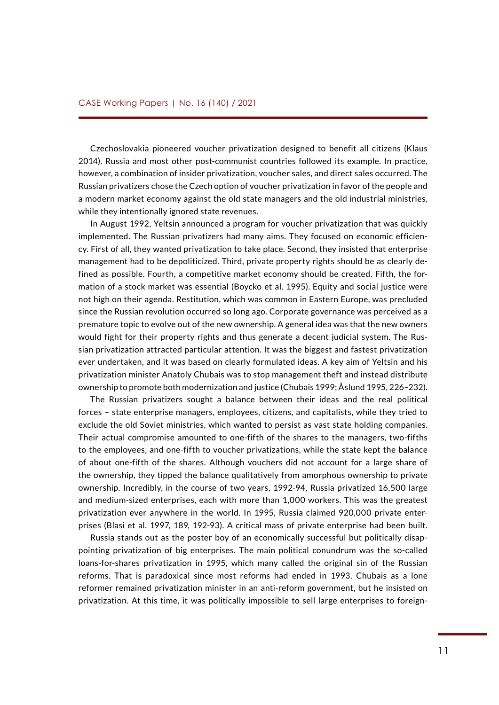Czechoslovakia pioneered voucher privatization designed to benefit all citizens (Klaus 2014). Russia and most other post-communist countries followed its example. In practice, however, a combination of insider privatization, voucher sales, and direct sales occurred. The Russian privatizers chose the Czech option of voucher privatization in favor of the people and a modern market economy against the old state managers and the old industrial ministries, while they intentionally ignored state revenues.

In August 1992, Yeltsin announced a program for voucher privatization that was quickly implemented. The Russian privatizers had many aims. They focused on economic efficiency. First of all, they wanted privatization to take place. Second, they insisted that enterprise management had to be depoliticized. Third, private property rights should be as clearly defined as possible. Fourth, a competitive market economy should be created. Fifth, the formation of a stock market was essential (Boycko et al. 1995). Equity and social justice were not high on their agenda. Restitution, which was common in Eastern Europe, was precluded since the Russian revolution occurred so long ago. Corporate governance was perceived as a premature topic to evolve out of the new ownership. A general idea was that the new owners would fight for their property rights and thus generate a decent judicial system. The Russian privatization attracted particular attention. It was the biggest and fastest privatization ever undertaken, and it was based on clearly formulated ideas. A key aim of Yeltsin and his privatization minister Anatoly Chubais was to stop management theft and instead distribute ownership to promote both modernization and justice (Chubais 1999; Åslund 1995, 226–232).

The Russian privatizers sought a balance between their ideas and the real political forces – state enterprise managers, employees, citizens, and capitalists, while they tried to exclude the old Soviet ministries, which wanted to persist as vast state holding companies. Their actual compromise amounted to one-fifth of the shares to the managers, two-fifths to the employees, and one-fifth to voucher privatizations, while the state kept the balance of about one-fifth of the shares. Although vouchers did not account for a large share of the ownership, they tipped the balance qualitatively from amorphous ownership to private ownership. Incredibly, in the course of two years, 1992-94, Russia privatized 16,500 large and medium-sized enterprises, each with more than 1,000 workers. This was the greatest privatization ever anywhere in the world. In 1995, Russia claimed 920,000 private enterprises (Blasi et al. 1997, 189, 192-93). A critical mass of private enterprise had been built.

Russia stands out as the poster boy of an economically successful but politically disappointing privatization of big enterprises. The main political conundrum was the so-called loans-for-shares privatization in 1995, which many called the original sin of the Russian reforms. That is paradoxical since most reforms had ended in 1993. Chubais as a lone reformer remained privatization minister in an anti-reform government, but he insisted on privatization. At this time, it was politically impossible to sell large enterprises to foreign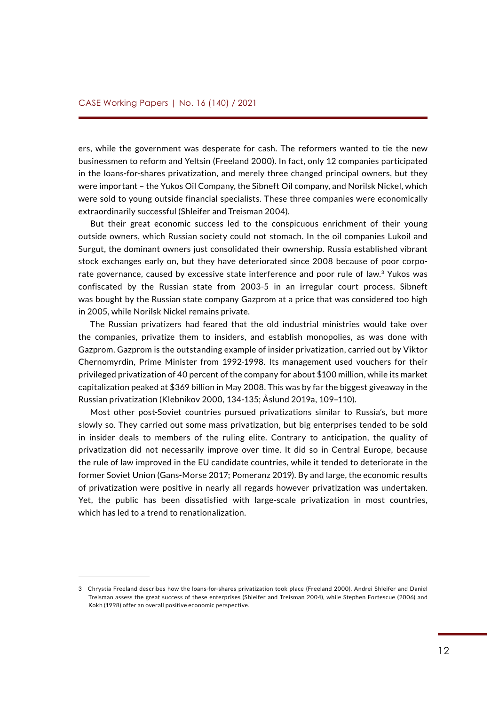ers, while the government was desperate for cash. The reformers wanted to tie the new businessmen to reform and Yeltsin (Freeland 2000). In fact, only 12 companies participated in the loans-for-shares privatization, and merely three changed principal owners, but they were important – the Yukos Oil Company, the Sibneft Oil company, and Norilsk Nickel, which were sold to young outside financial specialists. These three companies were economically extraordinarily successful (Shleifer and Treisman 2004).

But their great economic success led to the conspicuous enrichment of their young outside owners, which Russian society could not stomach. In the oil companies Lukoil and Surgut, the dominant owners just consolidated their ownership. Russia established vibrant stock exchanges early on, but they have deteriorated since 2008 because of poor corporate governance, caused by excessive state interference and poor rule of law.<sup>3</sup> Yukos was confiscated by the Russian state from 2003-5 in an irregular court process. Sibneft was bought by the Russian state company Gazprom at a price that was considered too high in 2005, while Norilsk Nickel remains private.

The Russian privatizers had feared that the old industrial ministries would take over the companies, privatize them to insiders, and establish monopolies, as was done with Gazprom. Gazprom is the outstanding example of insider privatization, carried out by Viktor Chernomyrdin, Prime Minister from 1992-1998. Its management used vouchers for their privileged privatization of 40 percent of the company for about \$100 million, while its market capitalization peaked at \$369 billion in May 2008. This was by far the biggest giveaway in the Russian privatization (Klebnikov 2000, 134-135; Åslund 2019a, 109–110).

Most other post-Soviet countries pursued privatizations similar to Russia's, but more slowly so. They carried out some mass privatization, but big enterprises tended to be sold in insider deals to members of the ruling elite. Contrary to anticipation, the quality of privatization did not necessarily improve over time. It did so in Central Europe, because the rule of law improved in the EU candidate countries, while it tended to deteriorate in the former Soviet Union (Gans-Morse 2017; Pomeranz 2019). By and large, the economic results of privatization were positive in nearly all regards however privatization was undertaken. Yet, the public has been dissatisfied with large-scale privatization in most countries, which has led to a trend to renationalization.

<sup>3</sup> Chrystia Freeland describes how the loans-for-shares privatization took place (Freeland 2000). Andrei Shleifer and Daniel Treisman assess the great success of these enterprises (Shleifer and Treisman 2004), while Stephen Fortescue (2006) and Kokh (1998) offer an overall positive economic perspective.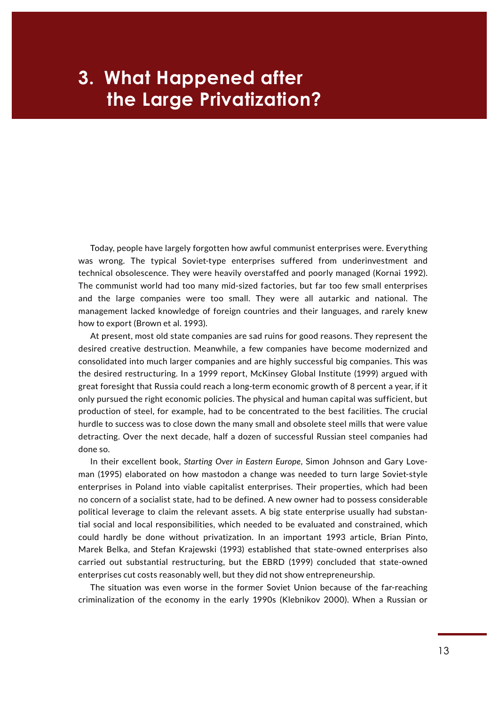# **EXAGE IDE:** the Large Privatization? **3. What Happened after**

Today, people have largely forgotten how awful communist enterprises were. Everything was wrong. The typical Soviet-type enterprises suffered from underinvestment and technical obsolescence. They were heavily overstaffed and poorly managed (Kornai 1992). The communist world had too many mid-sized factories, but far too few small enterprises and the large companies were too small. They were all autarkic and national. The management lacked knowledge of foreign countries and their languages, and rarely knew how to export (Brown et al. 1993).

At present, most old state companies are sad ruins for good reasons. They represent the desired creative destruction. Meanwhile, a few companies have become modernized and consolidated into much larger companies and are highly successful big companies. This was the desired restructuring. In a 1999 report, McKinsey Global Institute (1999) argued with great foresight that Russia could reach a long-term economic growth of 8 percent a year, if it only pursued the right economic policies. The physical and human capital was sufficient, but production of steel, for example, had to be concentrated to the best facilities. The crucial hurdle to success was to close down the many small and obsolete steel mills that were value detracting. Over the next decade, half a dozen of successful Russian steel companies had done so.

In their excellent book, *Starting Over in Eastern Europe*, Simon Johnson and Gary Loveman (1995) elaborated on how mastodon a change was needed to turn large Soviet-style enterprises in Poland into viable capitalist enterprises. Their properties, which had been no concern of a socialist state, had to be defined. A new owner had to possess considerable political leverage to claim the relevant assets. A big state enterprise usually had substantial social and local responsibilities, which needed to be evaluated and constrained, which could hardly be done without privatization. In an important 1993 article, Brian Pinto, Marek Belka, and Stefan Krajewski (1993) established that state-owned enterprises also carried out substantial restructuring, but the EBRD (1999) concluded that state-owned enterprises cut costs reasonably well, but they did not show entrepreneurship.

The situation was even worse in the former Soviet Union because of the far-reaching criminalization of the economy in the early 1990s (Klebnikov 2000). When a Russian or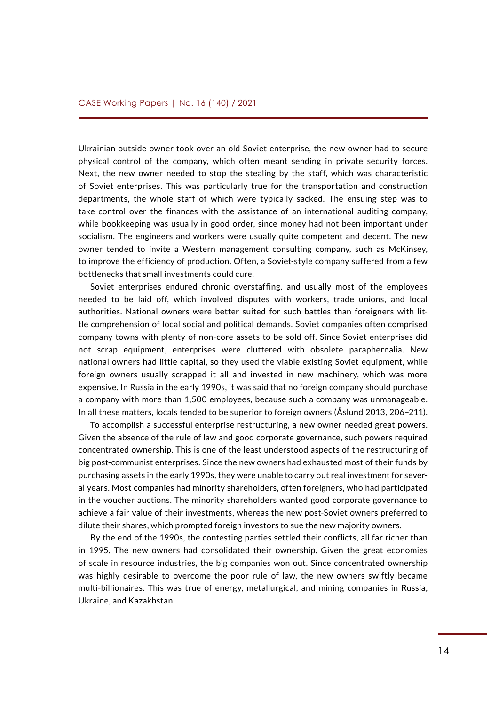Ukrainian outside owner took over an old Soviet enterprise, the new owner had to secure physical control of the company, which often meant sending in private security forces. Next, the new owner needed to stop the stealing by the staff, which was characteristic of Soviet enterprises. This was particularly true for the transportation and construction departments, the whole staff of which were typically sacked. The ensuing step was to take control over the finances with the assistance of an international auditing company, while bookkeeping was usually in good order, since money had not been important under socialism. The engineers and workers were usually quite competent and decent. The new owner tended to invite a Western management consulting company, such as McKinsey, to improve the efficiency of production. Often, a Soviet-style company suffered from a few bottlenecks that small investments could cure.

Soviet enterprises endured chronic overstaffing, and usually most of the employees needed to be laid off, which involved disputes with workers, trade unions, and local authorities. National owners were better suited for such battles than foreigners with little comprehension of local social and political demands. Soviet companies often comprised company towns with plenty of non-core assets to be sold off. Since Soviet enterprises did not scrap equipment, enterprises were cluttered with obsolete paraphernalia. New national owners had little capital, so they used the viable existing Soviet equipment, while foreign owners usually scrapped it all and invested in new machinery, which was more expensive. In Russia in the early 1990s, it was said that no foreign company should purchase a company with more than 1,500 employees, because such a company was unmanageable. In all these matters, locals tended to be superior to foreign owners (Åslund 2013, 206–211).

To accomplish a successful enterprise restructuring, a new owner needed great powers. Given the absence of the rule of law and good corporate governance, such powers required concentrated ownership. This is one of the least understood aspects of the restructuring of big post-communist enterprises. Since the new owners had exhausted most of their funds by purchasing assets in the early 1990s, they were unable to carry out real investment for several years. Most companies had minority shareholders, often foreigners, who had participated in the voucher auctions. The minority shareholders wanted good corporate governance to achieve a fair value of their investments, whereas the new post-Soviet owners preferred to dilute their shares, which prompted foreign investors to sue the new majority owners.

By the end of the 1990s, the contesting parties settled their conflicts, all far richer than in 1995. The new owners had consolidated their ownership. Given the great economies of scale in resource industries, the big companies won out. Since concentrated ownership was highly desirable to overcome the poor rule of law, the new owners swiftly became multi-billionaires. This was true of energy, metallurgical, and mining companies in Russia, Ukraine, and Kazakhstan.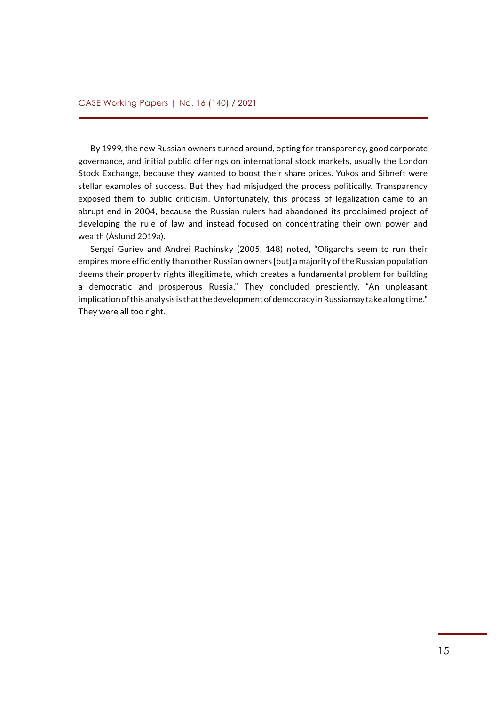By 1999, the new Russian owners turned around, opting for transparency, good corporate governance, and initial public offerings on international stock markets, usually the London Stock Exchange, because they wanted to boost their share prices. Yukos and Sibneft were stellar examples of success. But they had misjudged the process politically. Transparency exposed them to public criticism. Unfortunately, this process of legalization came to an abrupt end in 2004, because the Russian rulers had abandoned its proclaimed project of developing the rule of law and instead focused on concentrating their own power and wealth (Åslund 2019a).

Sergei Guriev and Andrei Rachinsky (2005, 148) noted, "Oligarchs seem to run their empires more efficiently than other Russian owners [but] a majority of the Russian population deems their property rights illegitimate, which creates a fundamental problem for building a democratic and prosperous Russia." They concluded presciently, "An unpleasant implication of this analysis is that the development of democracy in Russia may take a long time." They were all too right.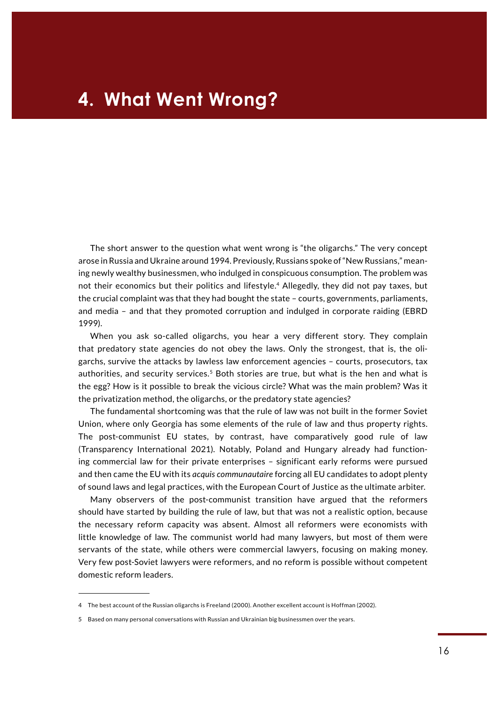The short answer to the question what went wrong is "the oligarchs." The very concept arose in Russia and Ukraine around 1994. Previously, Russians spoke of "New Russians," meaning newly wealthy businessmen, who indulged in conspicuous consumption. The problem was not their economics but their politics and lifestyle.4 Allegedly, they did not pay taxes, but the crucial complaint was that they had bought the state – courts, governments, parliaments, and media – and that they promoted corruption and indulged in corporate raiding (EBRD 1999).

When you ask so-called oligarchs, you hear a very different story. They complain that predatory state agencies do not obey the laws. Only the strongest, that is, the oligarchs, survive the attacks by lawless law enforcement agencies – courts, prosecutors, tax authorities, and security services. $5$  Both stories are true, but what is the hen and what is the egg? How is it possible to break the vicious circle? What was the main problem? Was it the privatization method, the oligarchs, or the predatory state agencies?

The fundamental shortcoming was that the rule of law was not built in the former Soviet Union, where only Georgia has some elements of the rule of law and thus property rights. The post-communist EU states, by contrast, have comparatively good rule of law (Transparency International 2021). Notably, Poland and Hungary already had functioning commercial law for their private enterprises – significant early reforms were pursued and then came the EU with its *acquis communautaire* forcing all EU candidates to adopt plenty of sound laws and legal practices, with the European Court of Justice as the ultimate arbiter.

Many observers of the post-communist transition have argued that the reformers should have started by building the rule of law, but that was not a realistic option, because the necessary reform capacity was absent. Almost all reformers were economists with little knowledge of law. The communist world had many lawyers, but most of them were servants of the state, while others were commercial lawyers, focusing on making money. Very few post-Soviet lawyers were reformers, and no reform is possible without competent domestic reform leaders.

<sup>4</sup> The best account of the Russian oligarchs is Freeland (2000). Another excellent account is Hoffman (2002).

<sup>5</sup> Based on many personal conversations with Russian and Ukrainian big businessmen over the years.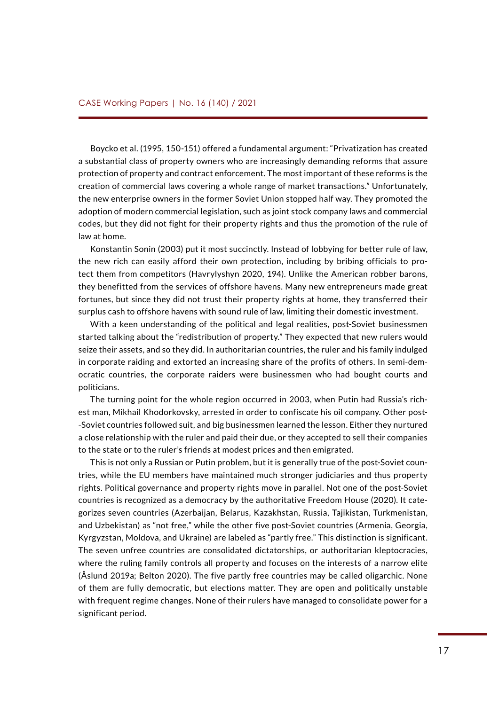Boycko et al. (1995, 150-151) offered a fundamental argument: "Privatization has created a substantial class of property owners who are increasingly demanding reforms that assure protection of property and contract enforcement. The most important of these reforms is the creation of commercial laws covering a whole range of market transactions." Unfortunately, the new enterprise owners in the former Soviet Union stopped half way. They promoted the adoption of modern commercial legislation, such as joint stock company laws and commercial codes, but they did not fight for their property rights and thus the promotion of the rule of law at home.

Konstantin Sonin (2003) put it most succinctly. Instead of lobbying for better rule of law, the new rich can easily afford their own protection, including by bribing officials to protect them from competitors (Havrylyshyn 2020, 194). Unlike the American robber barons, they benefitted from the services of offshore havens. Many new entrepreneurs made great fortunes, but since they did not trust their property rights at home, they transferred their surplus cash to offshore havens with sound rule of law, limiting their domestic investment.

With a keen understanding of the political and legal realities, post-Soviet businessmen started talking about the "redistribution of property." They expected that new rulers would seize their assets, and so they did. In authoritarian countries, the ruler and his family indulged in corporate raiding and extorted an increasing share of the profits of others. In semi-democratic countries, the corporate raiders were businessmen who had bought courts and politicians.

The turning point for the whole region occurred in 2003, when Putin had Russia's richest man, Mikhail Khodorkovsky, arrested in order to confiscate his oil company. Other post- -Soviet countries followed suit, and big businessmen learned the lesson. Either they nurtured a close relationship with the ruler and paid their due, or they accepted to sell their companies to the state or to the ruler's friends at modest prices and then emigrated.

This is not only a Russian or Putin problem, but it is generally true of the post-Soviet countries, while the EU members have maintained much stronger judiciaries and thus property rights. Political governance and property rights move in parallel. Not one of the post-Soviet countries is recognized as a democracy by the authoritative Freedom House (2020). It categorizes seven countries (Azerbaijan, Belarus, Kazakhstan, Russia, Tajikistan, Turkmenistan, and Uzbekistan) as "not free," while the other five post-Soviet countries (Armenia, Georgia, Kyrgyzstan, Moldova, and Ukraine) are labeled as "partly free." This distinction is significant. The seven unfree countries are consolidated dictatorships, or authoritarian kleptocracies, where the ruling family controls all property and focuses on the interests of a narrow elite (Åslund 2019a; Belton 2020). The five partly free countries may be called oligarchic. None of them are fully democratic, but elections matter. They are open and politically unstable with frequent regime changes. None of their rulers have managed to consolidate power for a significant period.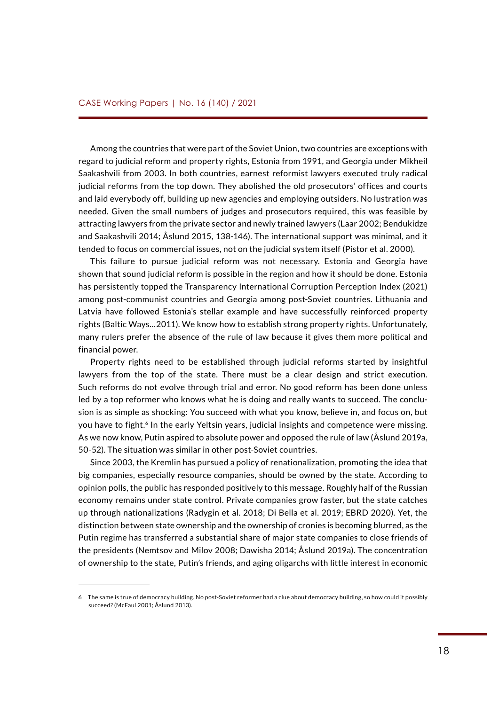Among the countries that were part of the Soviet Union, two countries are exceptions with regard to judicial reform and property rights, Estonia from 1991, and Georgia under Mikheil Saakashvili from 2003. In both countries, earnest reformist lawyers executed truly radical judicial reforms from the top down. They abolished the old prosecutors' offices and courts and laid everybody off, building up new agencies and employing outsiders. No lustration was needed. Given the small numbers of judges and prosecutors required, this was feasible by attracting lawyers from the private sector and newly trained lawyers (Laar 2002; Bendukidze and Saakashvili 2014; Åslund 2015, 138-146). The international support was minimal, and it tended to focus on commercial issues, not on the judicial system itself (Pistor et al. 2000).

This failure to pursue judicial reform was not necessary. Estonia and Georgia have shown that sound judicial reform is possible in the region and how it should be done. Estonia has persistently topped the Transparency International Corruption Perception Index (2021) among post-communist countries and Georgia among post-Soviet countries. Lithuania and Latvia have followed Estonia's stellar example and have successfully reinforced property rights (Baltic Ways…2011). We know how to establish strong property rights. Unfortunately, many rulers prefer the absence of the rule of law because it gives them more political and financial power.

Property rights need to be established through judicial reforms started by insightful lawyers from the top of the state. There must be a clear design and strict execution. Such reforms do not evolve through trial and error. No good reform has been done unless led by a top reformer who knows what he is doing and really wants to succeed. The conclusion is as simple as shocking: You succeed with what you know, believe in, and focus on, but you have to fight.<sup>6</sup> In the early Yeltsin years, judicial insights and competence were missing. As we now know, Putin aspired to absolute power and opposed the rule of law (Åslund 2019a, 50-52). The situation was similar in other post-Soviet countries.

Since 2003, the Kremlin has pursued a policy of renationalization, promoting the idea that big companies, especially resource companies, should be owned by the state. According to opinion polls, the public has responded positively to this message. Roughly half of the Russian economy remains under state control. Private companies grow faster, but the state catches up through nationalizations (Radygin et al. 2018; Di Bella et al. 2019; EBRD 2020). Yet, the distinction between state ownership and the ownership of cronies is becoming blurred, as the Putin regime has transferred a substantial share of major state companies to close friends of the presidents (Nemtsov and Milov 2008; Dawisha 2014; Åslund 2019a). The concentration of ownership to the state, Putin's friends, and aging oligarchs with little interest in economic

<sup>6</sup> The same is true of democracy building. No post-Soviet reformer had a clue about democracy building, so how could it possibly succeed? (McFaul 2001; Åslund 2013).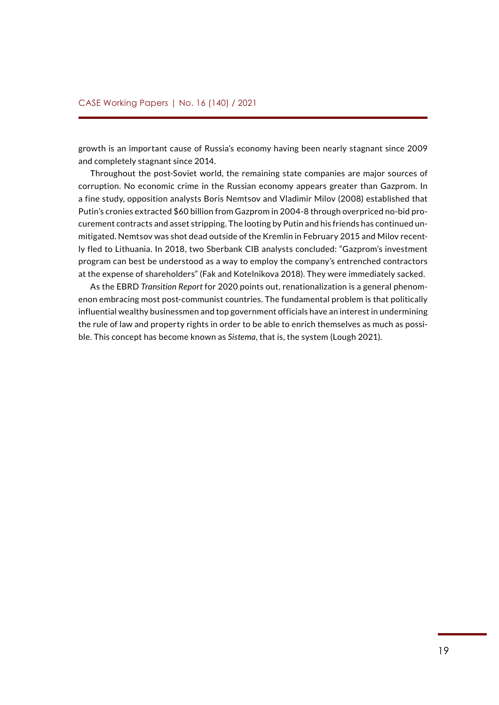growth is an important cause of Russia's economy having been nearly stagnant since 2009 and completely stagnant since 2014.

Throughout the post-Soviet world, the remaining state companies are major sources of corruption. No economic crime in the Russian economy appears greater than Gazprom. In a fine study, opposition analysts Boris Nemtsov and Vladimir Milov (2008) established that Putin's cronies extracted \$60 billion from Gazprom in 2004-8 through overpriced no-bid procurement contracts and asset stripping. The looting by Putin and his friends has continued unmitigated. Nemtsov was shot dead outside of the Kremlin in February 2015 and Milov recently fled to Lithuania. In 2018, two Sberbank CIB analysts concluded: "Gazprom's investment program can best be understood as a way to employ the company's entrenched contractors at the expense of shareholders" (Fak and Kotelnikova 2018). They were immediately sacked.

As the EBRD *Transition Report* for 2020 points out, renationalization is a general phenomenon embracing most post-communist countries. The fundamental problem is that politically influential wealthy businessmen and top government officials have an interest in undermining the rule of law and property rights in order to be able to enrich themselves as much as possible. This concept has become known as *Sistema*, that is, the system (Lough 2021).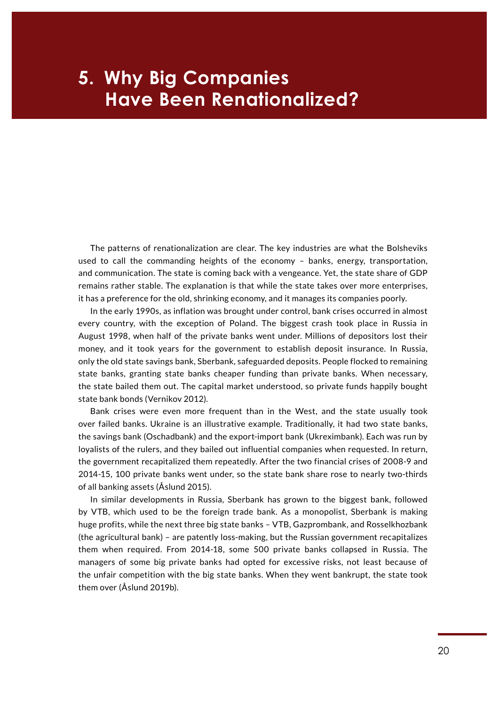# **Have Been Renationalized? 5. Why Big Companies**

The patterns of renationalization are clear. The key industries are what the Bolsheviks used to call the commanding heights of the economy – banks, energy, transportation, and communication. The state is coming back with a vengeance. Yet, the state share of GDP remains rather stable. The explanation is that while the state takes over more enterprises, it has a preference for the old, shrinking economy, and it manages its companies poorly.

In the early 1990s, as inflation was brought under control, bank crises occurred in almost every country, with the exception of Poland. The biggest crash took place in Russia in August 1998, when half of the private banks went under. Millions of depositors lost their money, and it took years for the government to establish deposit insurance. In Russia, only the old state savings bank, Sberbank, safeguarded deposits. People flocked to remaining state banks, granting state banks cheaper funding than private banks. When necessary, the state bailed them out. The capital market understood, so private funds happily bought state bank bonds (Vernikov 2012).

Bank crises were even more frequent than in the West, and the state usually took over failed banks. Ukraine is an illustrative example. Traditionally, it had two state banks, the savings bank (Oschadbank) and the export-import bank (Ukreximbank). Each was run by loyalists of the rulers, and they bailed out influential companies when requested. In return, the government recapitalized them repeatedly. After the two financial crises of 2008-9 and 2014-15, 100 private banks went under, so the state bank share rose to nearly two-thirds of all banking assets (Åslund 2015).

In similar developments in Russia, Sberbank has grown to the biggest bank, followed by VTB, which used to be the foreign trade bank. As a monopolist, Sberbank is making huge profits, while the next three big state banks – VTB, Gazprombank, and Rosselkhozbank (the agricultural bank) – are patently loss-making, but the Russian government recapitalizes them when required. From 2014-18, some 500 private banks collapsed in Russia. The managers of some big private banks had opted for excessive risks, not least because of the unfair competition with the big state banks. When they went bankrupt, the state took them over (Åslund 2019b).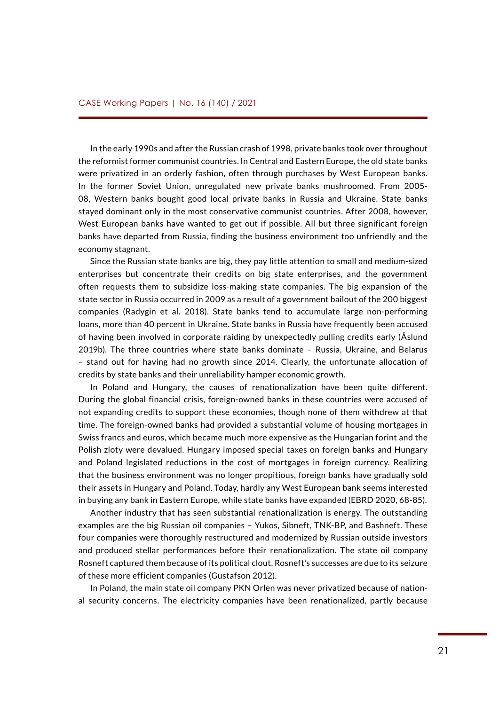In the early 1990s and after the Russian crash of 1998, private banks took over throughout the reformist former communist countries. In Central and Eastern Europe, the old state banks were privatized in an orderly fashion, often through purchases by West European banks. In the former Soviet Union, unregulated new private banks mushroomed. From 2005- 08, Western banks bought good local private banks in Russia and Ukraine. State banks stayed dominant only in the most conservative communist countries. After 2008, however, West European banks have wanted to get out if possible. All but three significant foreign banks have departed from Russia, finding the business environment too unfriendly and the economy stagnant.

Since the Russian state banks are big, they pay little attention to small and medium-sized enterprises but concentrate their credits on big state enterprises, and the government often requests them to subsidize loss-making state companies. The big expansion of the state sector in Russia occurred in 2009 as a result of a government bailout of the 200 biggest companies (Radygin et al. 2018). State banks tend to accumulate large non-performing loans, more than 40 percent in Ukraine. State banks in Russia have frequently been accused of having been involved in corporate raiding by unexpectedly pulling credits early (Åslund 2019b). The three countries where state banks dominate – Russia, Ukraine, and Belarus – stand out for having had no growth since 2014. Clearly, the unfortunate allocation of credits by state banks and their unreliability hamper economic growth.

In Poland and Hungary, the causes of renationalization have been quite different. During the global financial crisis, foreign-owned banks in these countries were accused of not expanding credits to support these economies, though none of them withdrew at that time. The foreign-owned banks had provided a substantial volume of housing mortgages in Swiss francs and euros, which became much more expensive as the Hungarian forint and the Polish zloty were devalued. Hungary imposed special taxes on foreign banks and Hungary and Poland legislated reductions in the cost of mortgages in foreign currency. Realizing that the business environment was no longer propitious, foreign banks have gradually sold their assets in Hungary and Poland. Today, hardly any West European bank seems interested in buying any bank in Eastern Europe, while state banks have expanded (EBRD 2020, 68-85).

Another industry that has seen substantial renationalization is energy. The outstanding examples are the big Russian oil companies – Yukos, Sibneft, TNK-BP, and Bashneft. These four companies were thoroughly restructured and modernized by Russian outside investors and produced stellar performances before their renationalization. The state oil company Rosneft captured them because of its political clout. Rosneft's successes are due to its seizure of these more efficient companies (Gustafson 2012).

In Poland, the main state oil company PKN Orlen was never privatized because of national security concerns. The electricity companies have been renationalized, partly because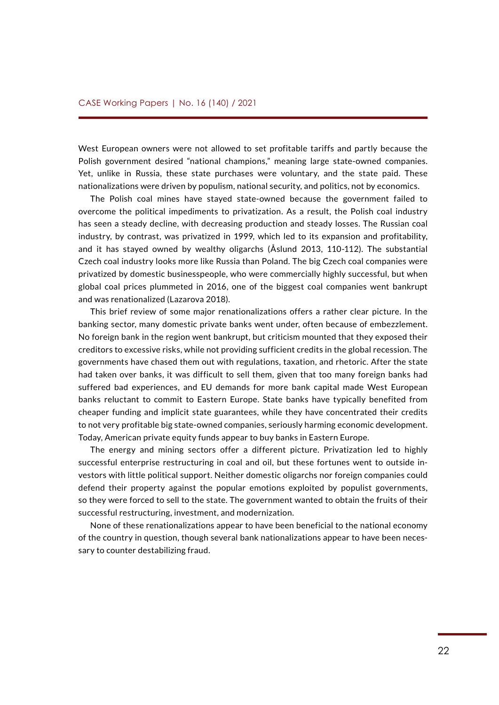West European owners were not allowed to set profitable tariffs and partly because the Polish government desired "national champions," meaning large state-owned companies. Yet, unlike in Russia, these state purchases were voluntary, and the state paid. These nationalizations were driven by populism, national security, and politics, not by economics.

The Polish coal mines have stayed state-owned because the government failed to overcome the political impediments to privatization. As a result, the Polish coal industry has seen a steady decline, with decreasing production and steady losses. The Russian coal industry, by contrast, was privatized in 1999, which led to its expansion and profitability, and it has stayed owned by wealthy oligarchs (Åslund 2013, 110-112). The substantial Czech coal industry looks more like Russia than Poland. The big Czech coal companies were privatized by domestic businesspeople, who were commercially highly successful, but when global coal prices plummeted in 2016, one of the biggest coal companies went bankrupt and was renationalized (Lazarova 2018).

This brief review of some major renationalizations offers a rather clear picture. In the banking sector, many domestic private banks went under, often because of embezzlement. No foreign bank in the region went bankrupt, but criticism mounted that they exposed their creditors to excessive risks, while not providing sufficient credits in the global recession. The governments have chased them out with regulations, taxation, and rhetoric. After the state had taken over banks, it was difficult to sell them, given that too many foreign banks had suffered bad experiences, and EU demands for more bank capital made West European banks reluctant to commit to Eastern Europe. State banks have typically benefited from cheaper funding and implicit state guarantees, while they have concentrated their credits to not very profitable big state-owned companies, seriously harming economic development. Today, American private equity funds appear to buy banks in Eastern Europe.

The energy and mining sectors offer a different picture. Privatization led to highly successful enterprise restructuring in coal and oil, but these fortunes went to outside investors with little political support. Neither domestic oligarchs nor foreign companies could defend their property against the popular emotions exploited by populist governments, so they were forced to sell to the state. The government wanted to obtain the fruits of their successful restructuring, investment, and modernization.

None of these renationalizations appear to have been beneficial to the national economy of the country in question, though several bank nationalizations appear to have been necessary to counter destabilizing fraud.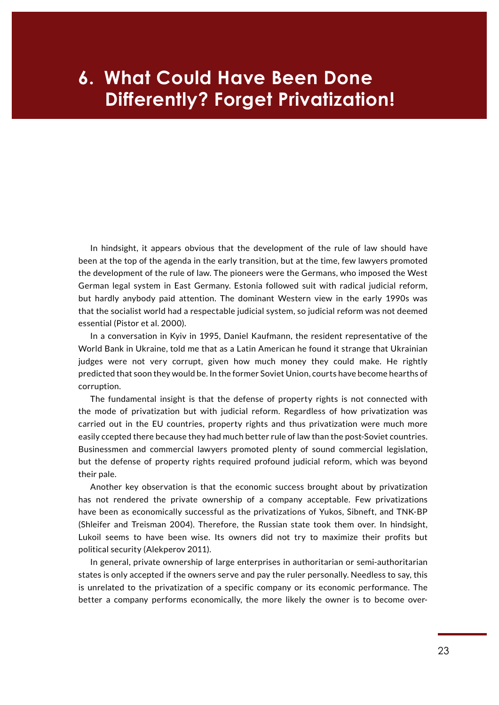# **Differently? Forget Privatization! 6. What Could Have Been Done**

In hindsight, it appears obvious that the development of the rule of law should have been at the top of the agenda in the early transition, but at the time, few lawyers promoted the development of the rule of law. The pioneers were the Germans, who imposed the West German legal system in East Germany. Estonia followed suit with radical judicial reform, but hardly anybody paid attention. The dominant Western view in the early 1990s was that the socialist world had a respectable judicial system, so judicial reform was not deemed essential (Pistor et al. 2000).

In a conversation in Kyiv in 1995, Daniel Kaufmann, the resident representative of the World Bank in Ukraine, told me that as a Latin American he found it strange that Ukrainian judges were not very corrupt, given how much money they could make. He rightly predicted that soon they would be. In the former Soviet Union, courts have become hearths of corruption.

The fundamental insight is that the defense of property rights is not connected with the mode of privatization but with judicial reform. Regardless of how privatization was carried out in the EU countries, property rights and thus privatization were much more easily ccepted there because they had much better rule of law than the post-Soviet countries. Businessmen and commercial lawyers promoted plenty of sound commercial legislation, but the defense of property rights required profound judicial reform, which was beyond their pale.

Another key observation is that the economic success brought about by privatization has not rendered the private ownership of a company acceptable. Few privatizations have been as economically successful as the privatizations of Yukos, Sibneft, and TNK-BP (Shleifer and Treisman 2004). Therefore, the Russian state took them over. In hindsight, Lukoil seems to have been wise. Its owners did not try to maximize their profits but political security (Alekperov 2011).

In general, private ownership of large enterprises in authoritarian or semi-authoritarian states is only accepted if the owners serve and pay the ruler personally. Needless to say, this is unrelated to the privatization of a specific company or its economic performance. The better a company performs economically, the more likely the owner is to become over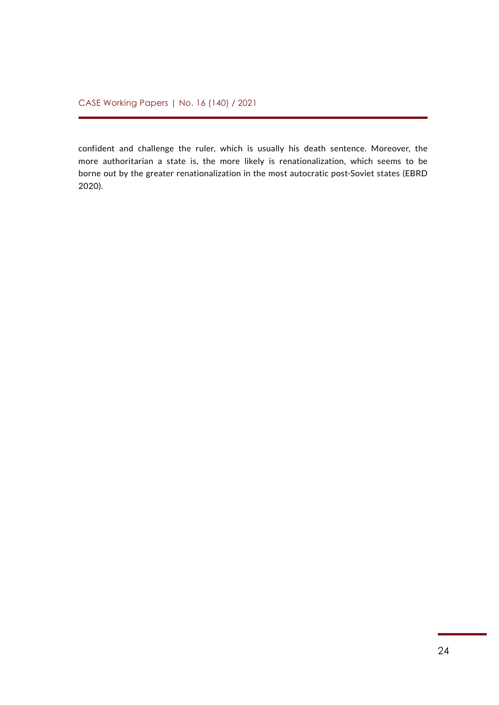confident and challenge the ruler, which is usually his death sentence. Moreover, the more authoritarian a state is, the more likely is renationalization, which seems to be borne out by the greater renationalization in the most autocratic post-Soviet states (EBRD 2020).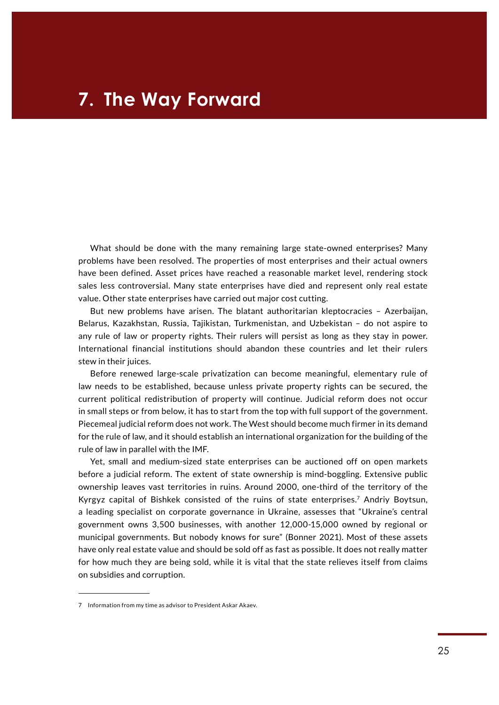What should be done with the many remaining large state-owned enterprises? Many problems have been resolved. The properties of most enterprises and their actual owners have been defined. Asset prices have reached a reasonable market level, rendering stock sales less controversial. Many state enterprises have died and represent only real estate value. Other state enterprises have carried out major cost cutting.

But new problems have arisen. The blatant authoritarian kleptocracies – Azerbaijan, Belarus, Kazakhstan, Russia, Tajikistan, Turkmenistan, and Uzbekistan – do not aspire to any rule of law or property rights. Their rulers will persist as long as they stay in power. International financial institutions should abandon these countries and let their rulers stew in their juices.

Before renewed large-scale privatization can become meaningful, elementary rule of law needs to be established, because unless private property rights can be secured, the current political redistribution of property will continue. Judicial reform does not occur in small steps or from below, it has to start from the top with full support of the government. Piecemeal judicial reform does not work. The West should become much firmer in its demand for the rule of law, and it should establish an international organization for the building of the rule of law in parallel with the IMF.

Yet, small and medium-sized state enterprises can be auctioned off on open markets before a judicial reform. The extent of state ownership is mind-boggling. Extensive public ownership leaves vast territories in ruins. Around 2000, one-third of the territory of the Kyrgyz capital of Bishkek consisted of the ruins of state enterprises.7 Andriy Boytsun, a leading specialist on corporate governance in Ukraine, assesses that "Ukraine's central government owns 3,500 businesses, with another 12,000-15,000 owned by regional or municipal governments. But nobody knows for sure" (Bonner 2021). Most of these assets have only real estate value and should be sold off as fast as possible. It does not really matter for how much they are being sold, while it is vital that the state relieves itself from claims on subsidies and corruption.

<sup>7</sup> Information from my time as advisor to President Askar Akaev.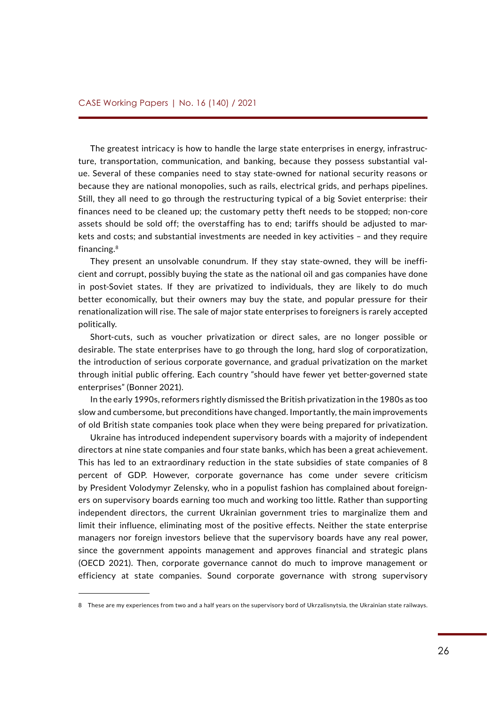The greatest intricacy is how to handle the large state enterprises in energy, infrastructure, transportation, communication, and banking, because they possess substantial value. Several of these companies need to stay state-owned for national security reasons or because they are national monopolies, such as rails, electrical grids, and perhaps pipelines. Still, they all need to go through the restructuring typical of a big Soviet enterprise: their finances need to be cleaned up; the customary petty theft needs to be stopped; non-core assets should be sold off; the overstaffing has to end; tariffs should be adjusted to markets and costs; and substantial investments are needed in key activities – and they require financing.8

They present an unsolvable conundrum. If they stay state-owned, they will be inefficient and corrupt, possibly buying the state as the national oil and gas companies have done in post-Soviet states. If they are privatized to individuals, they are likely to do much better economically, but their owners may buy the state, and popular pressure for their renationalization will rise. The sale of major state enterprises to foreigners is rarely accepted politically.

Short-cuts, such as voucher privatization or direct sales, are no longer possible or desirable. The state enterprises have to go through the long, hard slog of corporatization, the introduction of serious corporate governance, and gradual privatization on the market through initial public offering. Each country "should have fewer yet better-governed state enterprises" (Bonner 2021).

In the early 1990s, reformers rightly dismissed the British privatization in the 1980s as too slow and cumbersome, but preconditions have changed. Importantly, the main improvements of old British state companies took place when they were being prepared for privatization.

Ukraine has introduced independent supervisory boards with a majority of independent directors at nine state companies and four state banks, which has been a great achievement. This has led to an extraordinary reduction in the state subsidies of state companies of 8 percent of GDP. However, corporate governance has come under severe criticism by President Volodymyr Zelensky, who in a populist fashion has complained about foreigners on supervisory boards earning too much and working too little. Rather than supporting independent directors, the current Ukrainian government tries to marginalize them and limit their influence, eliminating most of the positive effects. Neither the state enterprise managers nor foreign investors believe that the supervisory boards have any real power, since the government appoints management and approves financial and strategic plans (OECD 2021). Then, corporate governance cannot do much to improve management or efficiency at state companies. Sound corporate governance with strong supervisory

<sup>8</sup> These are my experiences from two and a half years on the supervisory bord of Ukrzalisnytsia, the Ukrainian state railways.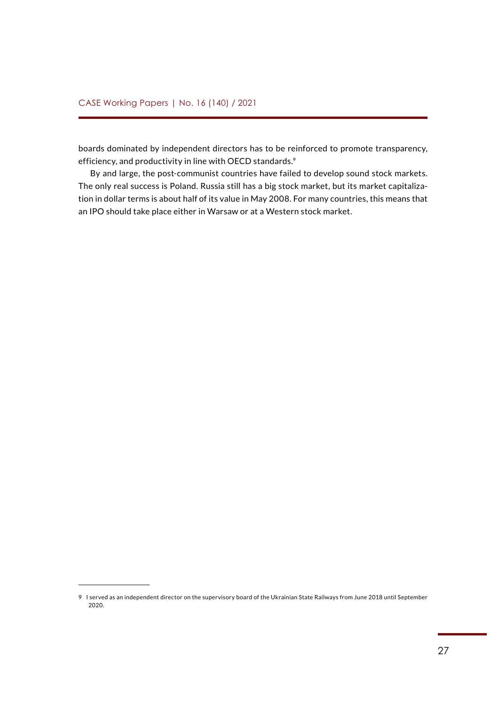boards dominated by independent directors has to be reinforced to promote transparency, efficiency, and productivity in line with OECD standards.<sup>9</sup>

By and large, the post-communist countries have failed to develop sound stock markets. The only real success is Poland. Russia still has a big stock market, but its market capitalization in dollar terms is about half of its value in May 2008. For many countries, this means that an IPO should take place either in Warsaw or at a Western stock market.

<sup>9</sup> I served as an independent director on the supervisory board of the Ukrainian State Railways from June 2018 until September 2020.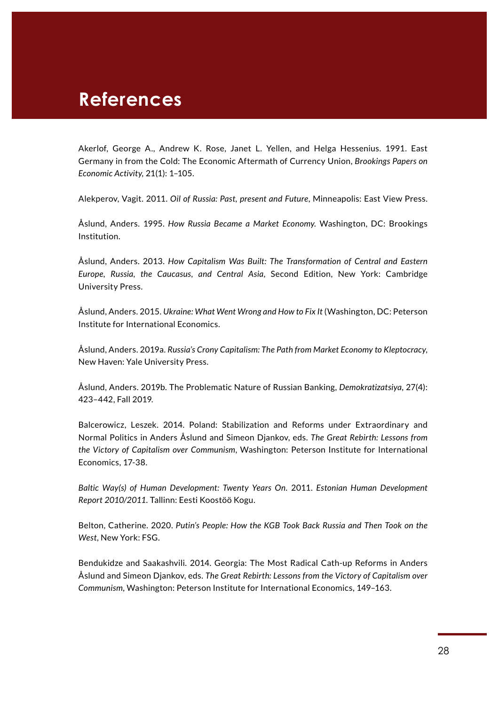## **References**

Akerlof, George A., Andrew K. Rose, Janet L. Yellen, and Helga Hessenius. 1991. East Germany in from the Cold: The Economic Aftermath of Currency Union, *Brookings Papers on Economic Activity,* 21(1): 1–105.

Alekperov, Vagit. 2011. *Oil of Russia: Past, present and Future*, Minneapolis: East View Press.

Åslund, Anders. 1995. *How Russia Became a Market Economy.* Washington, DC: Brookings Institution.

Åslund, Anders. 2013. *How Capitalism Was Built: The Transformation of Central and Eastern Europe, Russia, the Caucasus, and Central Asia*, Second Edition, New York: Cambridge University Press.

Åslund, Anders. 2015. *Ukraine: What Went Wrong and How to Fix It* (Washington, DC: Peterson Institute for International Economics.

Åslund, Anders. 2019a. *Russia's Crony Capitalism: The Path from Market Economy to Kleptocracy*, New Haven: Yale University Press.

Åslund, Anders. 2019b. The Problematic Nature of Russian Banking, *Demokratizatsiya*, 27(4): 423–442, Fall 2019.

Balcerowicz, Leszek. 2014. Poland: Stabilization and Reforms under Extraordinary and Normal Politics in Anders Åslund and Simeon Djankov, eds. *The Great Rebirth: Lessons from the Victory of Capitalism over Communism*, Washington: Peterson Institute for International Economics, 17-38.

*Baltic Way(s) of Human Development: Twenty Years On.* 2011. *Estonian Human Development Report 2010/2011.* Tallinn: Eesti Koostöö Kogu.

Belton, Catherine. 2020. *Putin's People: How the KGB Took Back Russia and Then Took on the West*, New York: FSG.

Bendukidze and Saakashvili. 2014. Georgia: The Most Radical Cath-up Reforms in Anders Åslund and Simeon Djankov, eds. *The Great Rebirth: Lessons from the Victory of Capitalism over Communism*, Washington: Peterson Institute for International Economics, 149–163.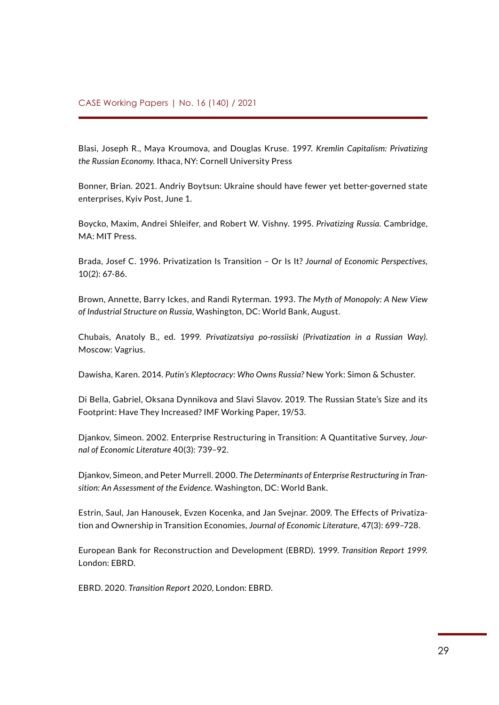Blasi, Joseph R., Maya Kroumova, and Douglas Kruse. 1997. *Kremlin Capitalism: Privatizing the Russian Economy*. Ithaca, NY: Cornell University Press

Bonner, Brian. 2021. Andriy Boytsun: Ukraine should have fewer yet better-governed state enterprises, Kyiv Post, June 1.

Boycko, Maxim, Andrei Shleifer, and Robert W. Vishny. 1995. *Privatizing Russia*. Cambridge, MA: MIT Press.

Brada, Josef C. 1996. Privatization Is Transition – Or Is It? *Journal of Economic Perspectives,* 10(2): 67-86.

Brown, Annette, Barry Ickes, and Randi Ryterman. 1993. *The Myth of Monopoly: A New View of Industrial Structure on Russia*, Washington, DC: World Bank, August.

Chubais, Anatoly B., ed. 1999. *Privatizatsiya po-rossiiski (Privatization in a Russian Way)*. Moscow: Vagrius.

Dawisha, Karen. 2014. *Putin's Kleptocracy: Who Owns Russia?* New York: Simon & Schuster.

Di Bella, Gabriel, Oksana Dynnikova and Slavi Slavov. 2019. The Russian State's Size and its Footprint: Have They Increased? IMF Working Paper, 19/53.

Djankov, Simeon. 2002. Enterprise Restructuring in Transition: A Quantitative Survey, *Journal of Economic Literature* 40(3): 739–92.

Djankov, Simeon, and Peter Murrell. 2000. *The Determinants of Enterprise Restructuring in Transition: An Assessment of the Evidence.* Washington, DC: World Bank.

Estrin, Saul, Jan Hanousek, Evzen Kocenka, and Jan Svejnar. 2009. The Effects of Privatization and Ownership in Transition Economies, *Journal of Economic Literature,* 47(3): 699–728.

European Bank for Reconstruction and Development (EBRD). 1999. *Transition Report 1999.* London: EBRD.

EBRD. 2020. *Transition Report 2020*, London: EBRD.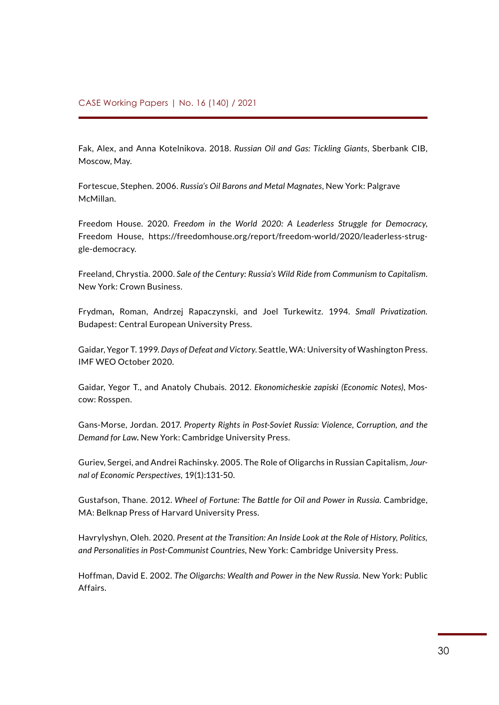Fak, Alex, and Anna Kotelnikova. 2018. *Russian Oil and Gas: Tickling Giants*, Sberbank CIB, Moscow, May.

Fortescue, Stephen. 2006. *Russia's Oil Barons and Metal Magnates*, New York: Palgrave McMillan.

Freedom House. 2020. *Freedom in the World 2020: A Leaderless Struggle for Democracy*, Freedom House, https://freedomhouse.org/report/freedom-world/2020/leaderless-struggle-democracy.

Freeland, Chrystia. 2000. *Sale of the Century: Russia's Wild Ride from Communism to Capitalism*. New York: Crown Business.

Frydman**,** Roman, Andrzej Rapaczynski, and Joel Turkewitz. 1994. *Small Privatization.* Budapest: Central European University Press.

Gaidar, Yegor T. 1999. *Days of Defeat and Victory*. Seattle, WA: University of Washington Press. IMF WEO October 2020.

Gaidar, Yegor T., and Anatoly Chubais. 2012. *Ekonomicheskie zapiski (Economic Notes)*, Moscow: Rosspen.

Gans-Morse, Jordan. 2017. *Property Rights in Post-Soviet Russia: Violence, Corruption, and the Demand for Law***.** New York: Cambridge University Press.

Guriev, Sergei, and Andrei Rachinsky. 2005. The Role of Oligarchs in Russian Capitalism, *Journal of Economic Perspectives,* 19(1):131-50.

Gustafson, Thane. 2012. Wheel of Fortune: The Battle for Oil and Power in Russia. Cambridge, MA: Belknap Press of Harvard University Press.

Havrylyshyn, Oleh. 2020. *[Present at the Transition: An Inside Look at the Role of History, Politics,](https://www.amazon.com/Present-Transition-Personalities-Post-Communist-Countries/dp/1108451713/ref=sr_1_1?dchild=1&qid=1617393500&refinements=p_27%3AOleh+Havrylyshyn&s=books&sr=1-1) [and Personalities in Post-Communist Countries,](https://www.amazon.com/Present-Transition-Personalities-Post-Communist-Countries/dp/1108451713/ref=sr_1_1?dchild=1&qid=1617393500&refinements=p_27%3AOleh+Havrylyshyn&s=books&sr=1-1)* New York: Cambridge University Press.

Hoffman, David E. 2002. *The Oligarchs: Wealth and Power in the New Russia.* New York: Public Affairs.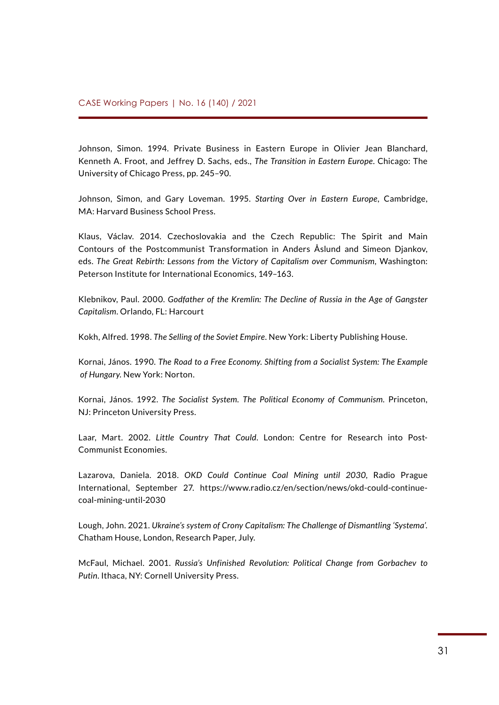Johnson, Simon. 1994. Private Business in Eastern Europe in Olivier Jean Blanchard, Kenneth A. Froot, and Jeffrey D. Sachs, eds., *The Transition in Eastern Europe*. Chicago: The University of Chicago Press, pp. 245–90.

Johnson, Simon, and Gary Loveman. 1995. *Starting Over in Eastern Europe*, Cambridge, MA: Harvard Business School Press.

Klaus, Václav. 2014. Czechoslovakia and the Czech Republic: The Spirit and Main Contours of the Postcommunist Transformation in Anders Åslund and Simeon Djankov, eds. *The Great Rebirth: Lessons from the Victory of Capitalism over Communism*, Washington: Peterson Institute for International Economics, 149–163.

Klebnikov, Paul. 2000. *Godfather of the Kremlin: The Decline of Russia in the Age of Gangster Capitalism*. Orlando, FL: Harcourt

Kokh, Alfred. 1998. *The Selling of the Soviet Empire*. New York: Liberty Publishing House.

Kornai, János. 1990. *The Road to a Free Economy. Shifting from a Socialist System: The Example of Hungary*. New York: Norton.

Kornai, János. 1992. *The Socialist System. The Political Economy of Communism.* Princeton, NJ: Princeton University Press.

Laar, Mart. 2002. *Little Country That Could*. London: Centre for Research into Post-Communist Economies.

Lazarova, Daniela. 2018. *OKD Could Continue Coal Mining until 2030*, Radio Prague International, September 27. [https://www.radio.cz/en/section/news/okd-could-continue](https://www.radio.cz/en/section/news/okd-could-continue-coal-mining-until-2030)[coal-mining-until-2030](https://www.radio.cz/en/section/news/okd-could-continue-coal-mining-until-2030)

Lough, John. 2021. *Ukraine's system of Crony Capitalism: The Challenge of Dismantling 'Systema'.*  Chatham House, London, Research Paper, July.

McFaul, Michael. 2001. *Russia's Unfinished Revolution: Political Change from Gorbachev to Putin*. Ithaca, NY: Cornell University Press.